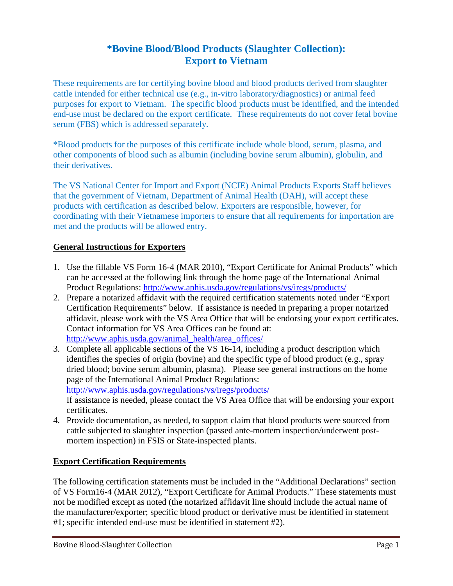## **\*Bovine Blood/Blood Products (Slaughter Collection): Export to Vietnam**

These requirements are for certifying bovine blood and blood products derived from slaughter cattle intended for either technical use (e.g., in-vitro laboratory/diagnostics) or animal feed purposes for export to Vietnam. The specific blood products must be identified, and the intended end-use must be declared on the export certificate. These requirements do not cover fetal bovine serum (FBS) which is addressed separately.

\*Blood products for the purposes of this certificate include whole blood, serum, plasma, and other components of blood such as albumin (including bovine serum albumin), globulin, and their derivatives.

The VS National Center for Import and Export (NCIE) Animal Products Exports Staff believes that the government of Vietnam, Department of Animal Health (DAH), will accept these products with certification as described below. Exporters are responsible, however, for coordinating with their Vietnamese importers to ensure that all requirements for importation are met and the products will be allowed entry.

## **General Instructions for Exporters**

- 1. Use the fillable VS Form 16-4 (MAR 2010), "Export Certificate for Animal Products" which can be accessed at the following link through the home page of the International Animal Product Regulations:<http://www.aphis.usda.gov/regulations/vs/iregs/products/>
- 2. Prepare a notarized affidavit with the required certification statements noted under "Export Certification Requirements" below. If assistance is needed in preparing a proper notarized affidavit, please work with the VS Area Office that will be endorsing your export certificates. Contact information for VS Area Offices can be found at: [http://www.aphis.usda.gov/animal\\_health/area\\_offices/](http://www.aphis.usda.gov/animal_health/area_offices/)
- 3. Complete all applicable sections of the VS 16-14, including a product description which identifies the species of origin (bovine) and the specific type of blood product (e.g., spray dried blood; bovine serum albumin, plasma). Please see general instructions on the home page of the International Animal Product Regulations: <http://www.aphis.usda.gov/regulations/vs/iregs/products/> If assistance is needed, please contact the VS Area Office that will be endorsing your export certificates.
- 4. Provide documentation, as needed, to support claim that blood products were sourced from cattle subjected to slaughter inspection (passed ante-mortem inspection/underwent postmortem inspection) in FSIS or State-inspected plants.

## **Export Certification Requirements**

The following certification statements must be included in the "Additional Declarations" section of VS Form16-4 (MAR 2012), "Export Certificate for Animal Products." These statements must not be modified except as noted (the notarized affidavit line should include the actual name of the manufacturer/exporter; specific blood product or derivative must be identified in statement #1; specific intended end-use must be identified in statement #2).